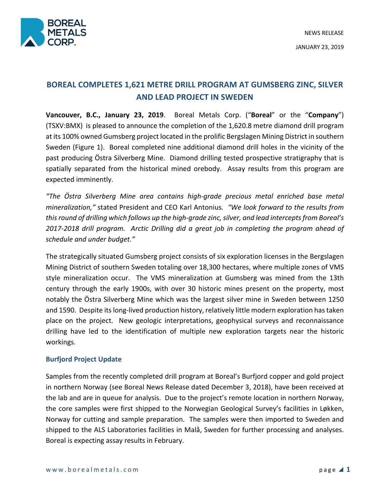

# **BOREAL COMPLETES 1,621 METRE DRILL PROGRAM AT GUMSBERG ZINC, SILVER AND LEAD PROJECT IN SWEDEN**

**Vancouver, B.C., January 23, 2019**. Boreal Metals Corp. ("**Boreal**" or the "**Company**") (TSXV:BMX) is pleased to announce the completion of the 1,620.8 metre diamond drill program at its 100% owned Gumsberg project located in the prolific Bergslagen Mining District in southern Sweden (Figure 1). Boreal completed nine additional diamond drill holes in the vicinity of the past producing Östra Silverberg Mine. Diamond drilling tested prospective stratigraphy that is spatially separated from the historical mined orebody. Assay results from this program are expected imminently.

*"The Östra Silverberg Mine area contains high-grade precious metal enriched base metal mineralization,"* stated President and CEO Karl Antonius*. "We look forward to the results from this round of drilling which follows up the high-grade zinc, silver, and lead interceptsfrom Boreal's 2017-2018 drill program. Arctic Drilling did a great job in completing the program ahead of schedule and under budget."*

The strategically situated Gumsberg project consists of six exploration licenses in the Bergslagen Mining District of southern Sweden totaling over 18,300 hectares, where multiple zones of VMS style mineralization occur. The VMS mineralization at Gumsberg was mined from the 13th century through the early 1900s, with over 30 historic mines present on the property, most notably the Östra Silverberg Mine which was the largest silver mine in Sweden between 1250 and 1590. Despite its long-lived production history, relatively little modern exploration has taken place on the project. New geologic interpretations, geophysical surveys and reconnaissance drilling have led to the identification of multiple new exploration targets near the historic workings.

# **Burfjord Project Update**

Samples from the recently completed drill program at Boreal's Burfjord copper and gold project in northern Norway (see Boreal News Release dated December 3, 2018), have been received at the lab and are in queue for analysis. Due to the project's remote location in northern Norway, the core samples were first shipped to the Norwegian Geological Survey's facilities in Løkken, Norway for cutting and sample preparation. The samples were then imported to Sweden and shipped to the ALS Laboratories facilities in Malå, Sweden for further processing and analyses. Boreal is expecting assay results in February.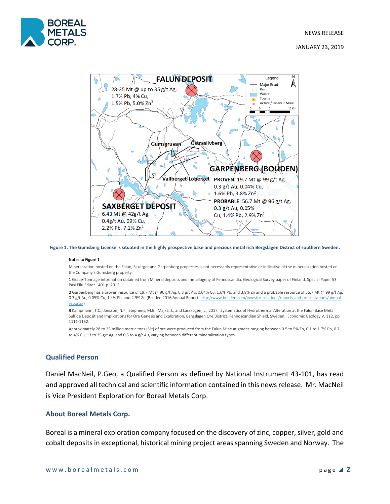

JANUARY 23, 2019



**Figure 1. The Gumsberg License is situated in the highly prospective base and precious metal rich Bergslagen District of southern Sweden.**

#### Notes to Figure 1

Mineralization hosted on the Falun, Saxerget and Garpenberg properties is not necessarily representative or indicative of the mineralization hosted on the Company's Gumsberg property.

1 Grade-Tonnage information obtained from Mineral deposits and metallogeny of Fennoscandia, Geological Survey paper of Finland, Special Paper 53. Pasi Eilu Editor. 401 p. 2012.

2 Garpenberg has a proven resource of 19.7 Mt @ 96 g/t Ag, 0.3 g/t Au, 0.04% Cu, 1.6% Pb, and 3.8% Zn and a probable resource of 56.7 Mt @ 99 g/t Ag, 0.3 g/t Au, 0.05% Cu, 1.4% Pb, and 2.9% Zn (Boliden 2016 Annual Report: http://www.boliden.com/investor-relations/reports-and-presentations/annualreports/)

3 Kampmann, T.C., Jansson, N.F., Stephens, M.B., Majka, J., and Lasskogen, L., 2017. Systematics of Hydrothermal Alteration at the Falun Base Metal Sulfide Deposit and Implications for Ore Genesis and Exploration, Bergslagen Ore District, Fennoscandian Shield, Sweden. Economic Geology V. 112, pp 1111-1152.

Approximately 28 to 35 million metric tons (Mt) of ore were produced from the Falun Mine at grades ranging between 0.5 to 5% Zn, 0.1 to 1.7% Pb, 0.7 to 4% Cu, 13 to 35 g/t Ag, and 0.5 to 4 g/t Au, varying between different mineralization types.

# **Qualified Person**

Daniel MacNeil, P.Geo, a Qualified Person as defined by National Instrument 43-101, has read and approved all technical and scientific information contained in this news release. Mr. MacNeil is Vice President Exploration for Boreal Metals Corp.

#### **About Boreal Metals Corp.**

Boreal is a mineral exploration company focused on the discovery of zinc, copper, silver, gold and cobalt deposits in exceptional, historical mining project areas spanning Sweden and Norway. The